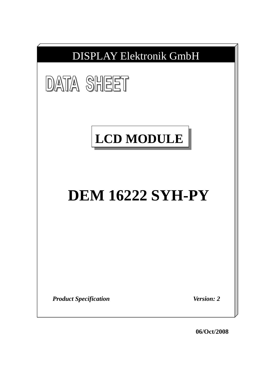

**06/Oct/2008**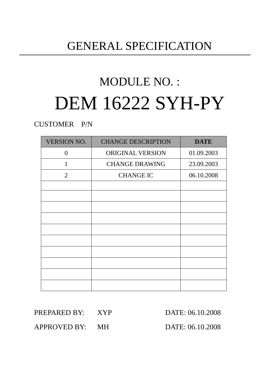## GENERAL SPECIFICATION

# MODULE NO. : DEM 16222 SYH-PY

### CUSTOMER P/N

| <b>VERSION NO.</b> | <b>CHANGE DESCRIPTION</b> | <b>DATE</b> |
|--------------------|---------------------------|-------------|
| $\overline{0}$     | ORIGINAL VERSION          | 01.09.2003  |
| 1                  | <b>CHANGE DRAWING</b>     | 23.09.2003  |
| $\overline{2}$     | <b>CHANGE IC</b>          | 06.10.2008  |
|                    |                           |             |
|                    |                           |             |
|                    |                           |             |
|                    |                           |             |
|                    |                           |             |
|                    |                           |             |
|                    |                           |             |
|                    |                           |             |
|                    |                           |             |
|                    |                           |             |

PREPARED BY: XYP DATE: 06.10.2008

APPROVED BY: MH DATE: 06.10.2008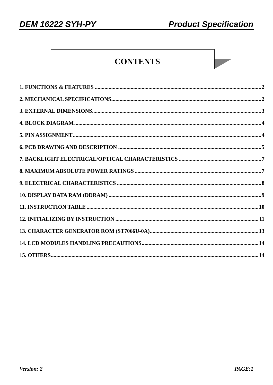### **CONTENTS**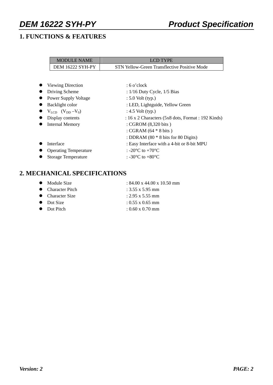### **1. FUNCTIONS & FEATURES**

| <b>MODULE NAME</b>      | LCD TYPE                                     |
|-------------------------|----------------------------------------------|
| <b>DEM 16222 SYH-PY</b> | STN Yellow-Green Transflective Positive Mode |

| • Viewing Direction                                           | $:6$ o'clock                                              |
|---------------------------------------------------------------|-----------------------------------------------------------|
| • Driving Scheme                                              | : $1/16$ Duty Cycle, $1/5$ Bias                           |
| • Power Supply Voltage                                        | $: 5.0$ Volt (typ.)                                       |
| • Backlight color                                             | : LED, Lightguide, Yellow Green                           |
| $\bullet$ V <sub>LCD</sub> (V <sub>DD</sub> -V <sub>0</sub> ) | : $4.5$ Volt (typ.)                                       |
| • Display contents                                            | : $16 \times 2$ Characters (5x8 dots, Format : 192 Kinds) |
| • Internal Memory                                             | : CGROM (8,320 bits)                                      |
|                                                               | : CGRAM $(64 * 8 \text{ bits})$                           |
|                                                               | : DDRAM $(80 * 8 \text{ bits for } 80 \text{ Digits})$    |
| Interface                                                     | : Easy Interface with a 4-bit or 8-bit MPU                |
| <b>Operating Temperature</b><br>$\bullet$                     | : -20 $\rm{^{\circ}C}$ to +70 $\rm{^{\circ}C}$            |
| <b>Storage Temperature</b>                                    | : -30 $^{\circ}$ C to +80 $^{\circ}$ C                    |
|                                                               |                                                           |

#### **2. MECHANICAL SPECIFICATIONS**

| • Module Size     | $: 84.00 \times 44.00 \times 10.50$ mm |
|-------------------|----------------------------------------|
| • Character Pitch | : $3.55 \times 5.95$ mm                |
| • Character Size  | $: 2.95 \times 5.55$ mm                |
| • Dot Size        | $: 0.55 \times 0.65$ mm                |
| • Dot Pitch       | $: 0.60 \times 0.70$ mm                |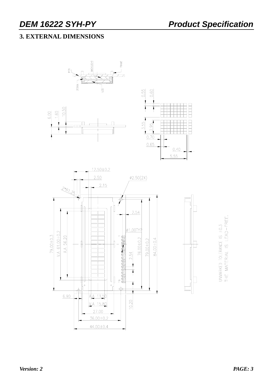### **3. EXTERNAL DIMENSIONS**



*Version: 2 PAGE: 3*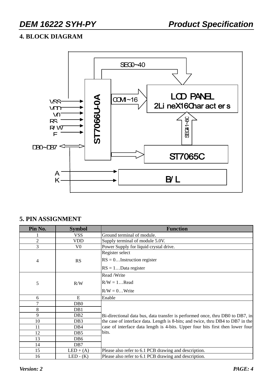### **4. BLOCK DIAGRAM**



#### **5. PIN ASSIGNMENT**

| Pin No.        | <b>Symbol</b>    | <b>Function</b>                                                                 |  |  |  |  |
|----------------|------------------|---------------------------------------------------------------------------------|--|--|--|--|
|                | VSS.             | Ground terminal of module.                                                      |  |  |  |  |
| $\overline{2}$ | <b>VDD</b>       | Supply terminal of module 5.0V.                                                 |  |  |  |  |
| 3              | V0               | Power Supply for liquid crystal drive.                                          |  |  |  |  |
|                |                  | Register select                                                                 |  |  |  |  |
| 4              | <b>RS</b>        | $RS = 0$ Instruction register                                                   |  |  |  |  |
|                |                  | $RS = 1Data register$                                                           |  |  |  |  |
|                |                  | Read / Write                                                                    |  |  |  |  |
| 5              | R/W              | $R/W = 1$ Read                                                                  |  |  |  |  |
|                |                  | $R/W = 0$ Write                                                                 |  |  |  |  |
| 6              | E                | Enable                                                                          |  |  |  |  |
| 7              | D <sub>B</sub> 0 |                                                                                 |  |  |  |  |
| 8              | DB1              |                                                                                 |  |  |  |  |
| 9              | DB <sub>2</sub>  | Bi-directional data bus, data transfer is performed once, thru DB0 to DB7, in   |  |  |  |  |
| 10             | DB <sub>3</sub>  | the case of interface data. Length is 8-bits; and twice, thru DB4 to DB7 in the |  |  |  |  |
| 11             | DB4              | case of interface data length is 4-bits. Upper four bits first then lower four  |  |  |  |  |
| 12             | DB <sub>5</sub>  | bits.                                                                           |  |  |  |  |
| 13             | DB6              |                                                                                 |  |  |  |  |
| 14             | DB7              |                                                                                 |  |  |  |  |
| 15             | $LED + (A)$      | Please also refer to 6.1 PCB drawing and description.                           |  |  |  |  |
| 16             | $LED - (K)$      | Please also refer to 6.1 PCB drawing and description.                           |  |  |  |  |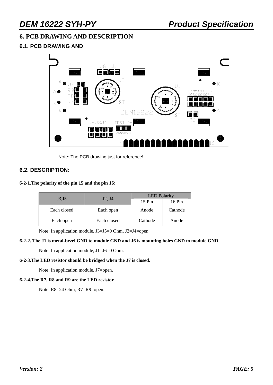#### **6. PCB DRAWING AND DESCRIPTION**

#### **6.1. PCB DRAWING AND**



Note: The PCB drawing just for reference!

#### **6.2. DESCRIPTION:**

#### **6-2-1.The polarity of the pin 15 and the pin 16:**

|             | J2, J4      | <b>LED</b> Polarity         |         |  |  |
|-------------|-------------|-----------------------------|---------|--|--|
| J3,J5       |             | $15 \mathrm{Pin}$<br>16 Pin |         |  |  |
| Each closed | Each open   | Anode                       | Cathode |  |  |
| Each open   | Each closed | Cathode                     | Anode   |  |  |

Note: In application module, J3=J5=0 Ohm, J2=J4=open.

#### **6-2-2. The J1 is metal-bezel GND to module GND and J6 is mounting holes GND to module GND.**

Note: In application module, J1=J6=0 Ohm.

#### **6-2-3.The LED resistor should be bridged when the J7 is closed.**

Note: In application module, J7=open.

#### **6-2-4.The R7, R8 and R9 are the LED resistor.**

Note: R8=24 Ohm, R7=R9=open.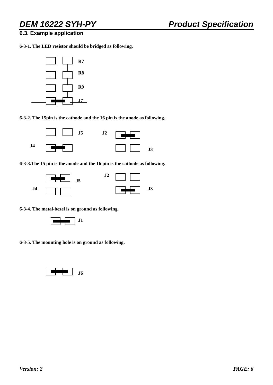#### **6.3. Example application**

**6-3-1. The LED resistor should be bridged as following.** 



**6-3-2. The 15pin is the cathode and the 16 pin is the anode as following.** 



**6-3-3.The 15 pin is the anode and the 16 pin is the cathode as following.** 



**6-3-4. The metal-bezel is on ground as following.** 



**6-3-5. The mounting hole is on ground as following.** 

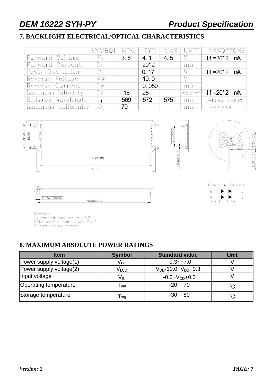### **7. BACKLIGHT ELECTRICAL/OPTICAL CHARACTERISTICS**

|                     | SYMBOL MIN.          |     |        |     | TYP.   MAX.   UNIT | CONDITIONS                   |
|---------------------|----------------------|-----|--------|-----|--------------------|------------------------------|
| Forward Voltage     | Vf                   | 3.6 | 4.1    | 4.5 | V                  | $1f = 20^*2$ mA              |
| Forward Current     | Ιf                   |     | $20*2$ |     | mA                 |                              |
| Power Disdipation   | P <sub>d</sub>       |     | 0.17   |     | W                  | $1f = 20^*2$ mA              |
| Reverse Voltage     | $V_{R}$              |     | 10.0   |     | V                  |                              |
| Reverse Current     | I <sub>R</sub>       |     | 0.050  |     | mA                 |                              |
| Luminous Intensity  | I v                  | 15  | 25     |     |                    | cd/m <sup>2</sup> If=20*2 mA |
| Emission Wavelength | $\lambda_{\text{P}}$ | 569 | 572    | 575 | nm                 | $I_f = 10mA$ Ta=25°C         |
| Luminous Uniformity |                      | 70  |        |     | nm                 | Each chip                    |



 $70.00 \pm 0.2$ 





Electrical Circuit  $A \circ \longrightarrow \longrightarrow \bullet K$  $\mathbf{A} \circ \longrightarrow \longrightarrow \longrightarrow \mathbf{K}$  $2 x 2 = 4 PCs$ 

 $4 - 0.15 \pm 0.05$ 

倔

Remarks:

1, Unmarked tolerance is  $\pm 0.3$ ,

2, The material comply with RoHS.<br>3. Color: yellow green

#### **8. MAXIMUM ABSOLUTE POWER RATINGS**

| <b>Item</b>             | <b>Symbol</b>               | <b>Standard value</b>         | Unit        |
|-------------------------|-----------------------------|-------------------------------|-------------|
| Power supply voltage(1) | V <sub>DD</sub>             | $-0.3 - +7.0$                 |             |
| Power supply voltage(2) | V <sub>LCD</sub>            | $V_{DD}$ -10.0~ $V_{DD}$ +0.3 |             |
| Input voltage           | $V_{IN}$                    | $-0.3 - V_{DD} + 0.3$         |             |
| Operating temperature   | $\mathsf{T}_{\mathsf{opt}}$ | $-20 - +70$                   | $^{\circ}C$ |
| Storage temperature     | $\mathsf{T}_{\mathsf{stg}}$ | $-30 - +80$                   | $^{\circ}C$ |

Τ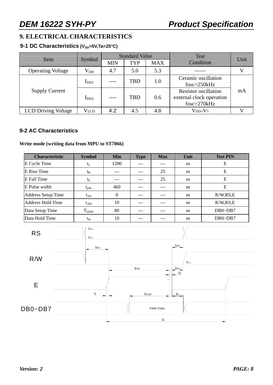### **9. ELECTRICAL CHARACTERISTICS**

#### 9-1 DC Characteristics (V<sub>DD</sub>=5V,Ta=25°C)

| Item                       |                  |            | <b>Standard Value</b> |            | <b>Test</b>                                                            | Unit |
|----------------------------|------------------|------------|-----------------------|------------|------------------------------------------------------------------------|------|
|                            | Symbol           | <b>MIN</b> | <b>TYP</b>            | <b>MAX</b> | Condition                                                              |      |
| <b>Operating Voltage</b>   | $\rm V_{DD}$     | 4.7        | 5.0                   | 5.3        |                                                                        |      |
|                            | I <sub>DD1</sub> |            | <b>TBD</b>            | 1.0        | Ceramic oscillation<br>$f$ osc=250 $k$ Hz                              |      |
| <b>Supply Current</b>      | $I_{DD2}$        | ----       | <b>TBD</b>            | 0.6        | <b>Resistor oscillation</b><br>external clock operation<br>fosc=270kHz | mA   |
| <b>LCD Driving Voltage</b> | <b>VLCD</b>      | 4.2        | 4.5                   | 4.8        | $V_{DD} - V_5$                                                         |      |

#### **9-2 AC Characteristics**

#### **Write mode (writing data from MPU to ST7066)**

| <b>Characteristic</b>     | <b>Symbol</b> | Min          | <b>Type</b> | <b>Max</b> | Unit          | <b>Test PIN</b> |
|---------------------------|---------------|--------------|-------------|------------|---------------|-----------------|
| E Cycle Time              | $t_{\rm C}$   | 1200         | ---         |            | ns            | E               |
| E Rise Time               | $t_{R}$       |              | ---         | 25         | ns            | Ε               |
| E Fall Time               | $t_{\rm F}$   |              |             | 25         | <sub>ns</sub> | Ε               |
| E Pulse width             | $t_{\rm pW}$  | 460          | $---$       |            | <sub>ns</sub> | Ε               |
| <b>Address Setup Time</b> | $t_{AS}$      | $\mathbf{0}$ | $---$       |            | ns            | R/W, RS, E      |
| <b>Address Hold Time</b>  | $t_{\rm AH}$  | 10           | ---         |            | ns            | R/W, RS, E      |
| Data Setup Time           | $T_{DSW}$     | 80           | $---$       |            | <sub>ns</sub> | $DB0\neg DB7$   |
| Data Hold Time            | $t_{\rm H}$   | 10           | $---$       |            | ns            | $DB0\neg DB7$   |

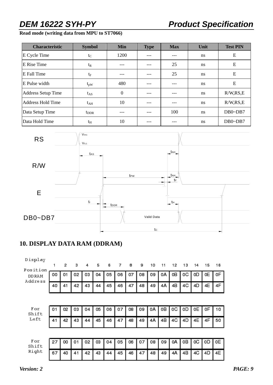#### **Read mode (writing data from MPU to ST7066)**

| <b>Characteristic</b> | <b>Symbol</b> | Min      | <b>Type</b> | <b>Max</b> | Unit          | <b>Test PIN</b> |
|-----------------------|---------------|----------|-------------|------------|---------------|-----------------|
| E Cycle Time          | $t_C$         | 1200     |             |            | <sub>ns</sub> | Ε               |
| E Rise Time           | $t_{R}$       | ---      |             | 25         | <sub>ns</sub> | E               |
| E Fall Time           | $t_{\rm F}$   |          |             | 25         | <sub>ns</sub> | E               |
| E Pulse width         | $t_{\rm pW}$  | 480      |             |            | <sub>ns</sub> | E               |
| Address Setup Time    | $t_{AS}$      | $\theta$ |             |            | <sub>ns</sub> | R/W, RS, E      |
| Address Hold Time     | $t_{AH}$      | 10       |             |            | <sub>ns</sub> | R/W, RS, E      |
| Data Setup Time       | $t_{\rm DDR}$ | $- -$    |             | 100        | <sub>ns</sub> | $DB0\neg DB7$   |
| Data Hold Time        | $t_{\rm H}$   | 10       |             |            | <sub>ns</sub> | $DB0\neg DB7$   |



### **10. DISPLAY DATA RAM (DDRAM)**

| Display<br>Position<br><b>DDRAM</b> | 1  | 2  | з  | 4  | 5  | 6  | 7  | 8  | 9  | 10 | 11 | 12 | 13 | 14 | 15 | 16 |
|-------------------------------------|----|----|----|----|----|----|----|----|----|----|----|----|----|----|----|----|
|                                     | 00 | 01 | 02 | 03 | 04 | 05 | 06 | 07 | 08 | 09 | 0A | OΒ | OС | 0D | 0E | 0F |
| Address                             | 40 | 41 | 42 | 43 | 44 | 45 | 46 | 47 | 48 | 49 | 4A | 4B | 4C | 4D | 4E | 4F |
|                                     |    |    |    |    |    |    |    |    |    |    |    |    |    |    |    |    |
| For<br>Shift                        | 01 | 02 | 03 | 04 | 05 | 06 | 07 | 08 | 09 | 0A | oВ | OС | 0D | 0Ε | 0F | 10 |
| Left                                | 41 | 42 | 43 | 44 | 45 | 46 | 47 | 48 | 49 | 4Α | 4B | 4C | 4D | 4E | 4F | 50 |
|                                     |    |    |    |    |    |    |    |    |    |    |    |    |    |    |    |    |
| For<br>Shift                        | 27 | 00 | 01 | 02 | 03 | 04 | 05 | 06 | 07 | 08 | 09 | 0A | oВ | 0C | οD | 0E |
| Right                               | 67 | 40 | 41 | 42 | 43 | 44 | 45 | 46 | 47 | 48 | 49 | 4A | 4B | 4C | 4D | 4E |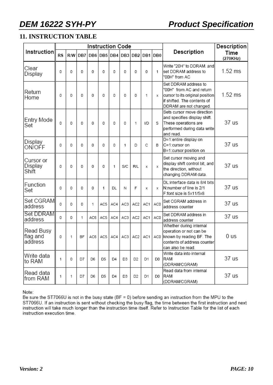### **11. INSTRUCTION TABLE**

|                                  |           |     |           | <b>Instruction Code</b> |     |         |     |                 | Description |                 |                                                                                                                                              |                  |
|----------------------------------|-----------|-----|-----------|-------------------------|-----|---------|-----|-----------------|-------------|-----------------|----------------------------------------------------------------------------------------------------------------------------------------------|------------------|
| Instruction                      | <b>RS</b> | R/W | DB7       | DB <sub>6</sub>         |     | DB5 DB4 |     | DB3 DB2         |             | DB1 DB0         | Description                                                                                                                                  | Time<br>(270KHz) |
| Clear<br>Display                 | 0         | 0   | 0         | 0                       | 0   | 0       | 0   | 0               | 0           | 1               | Write "20H" to DDRAM. and<br>set DDRAM address to<br>"00H" from AC                                                                           | $1.52$ ms        |
| Return<br>Home                   | 0         | 0   | 0         | 0                       | 0   | 0       | 0   | 0               | 1           | x               | Set DDRAM address to<br>"00H" from AC and return<br>cursor to its original position<br>if shifted. The contents of<br>DDRAM are not changed. | $1.52$ ms        |
| Entry Mode<br>Set                | 0         | 0   | 0         | 0                       | 0   | 0       | 0   | 1               | I/D         | S               | Sets cursor move direction<br>and specifies display shift.<br>These operations are<br>performed during data write<br>and read.               | 37 us            |
| Display<br>ON/OFF                | 0         | 0   | 0         | 0                       | 0   | 0       | 1   | D               | C           | B               | D=1:entire display on<br>C=1:cursor on<br>B=1:cursor position on                                                                             | 37 us            |
| Cursor or<br>Display<br>Shift    | 0         | 0   | 0         | 0                       | 0   | 1       | S/C | R/L             | х           | X               | Set cursor moving and<br>display shift control bit, and<br>the direction, without<br>changing DDRAM data.                                    | 37 us            |
| Function<br>Set                  | 0         | 0   | 0         | 0                       | 1   | DL      | Ν   | F               | х           | x               | DL:interface data is 8/4 bits<br>N:number of line is 2/1<br>F:font size is 5x11/5x8                                                          | 37 us            |
| Set CGRAM<br>address             | 0         | 0   | 0         | 1                       | AC5 | AC4     | AC3 | AC <sub>2</sub> | AC1         | AC <sub>0</sub> | Set CGRAM address in<br>address counter                                                                                                      | 37 us            |
| Set DDRAM<br>address             | 0         | 0   | 1         | AC6                     | AC5 | AC4     | AC3 | AC <sub>2</sub> | AC1         | AC0             | Set DDRAM address in<br>address counter                                                                                                      | 37 us            |
| Read Busy<br>flag and<br>address | 0         | 1   | <b>BF</b> | AC6                     | AC5 | AC4     | AC3 | AC <sub>2</sub> | AC1         | AC0             | Whether during internal<br>operation or not can be<br>known by reading BF. The<br>contents of address counter<br>can also be read.           | 0 <sub>us</sub>  |
| Write data<br>to RAM             | 1         | 0   | D7        | D6                      | D5  | D4      | D3  | D2              | D1          | D0              | Write data into internal<br>RAM<br>(DDRAM/CGRAM)                                                                                             | 37 us            |
| Read data<br>from RAM            | 1         | 1   | D7        | D6                      | D5  | D4      | D3  | D2              | D1          | D0              | Read data from internal<br>RAM<br>(DDRAM/CGRAM)                                                                                              | 37 us            |

Note:

Be sure the ST7066U is not in the busy state (BF = 0) before sending an instruction from the MPU to the ST7066U. If an instruction is sent without checking the busy flag, the time between the first instruction and next<br>instruction will take much longer than the instruction time itself. Refer to Instruction Table for the list instruction execution time.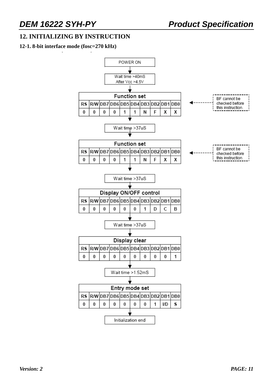#### **12. INITIALIZING BY INSTRUCTION**

#### **12-1. 8-bit interface mode (fosc=270 kHz)**

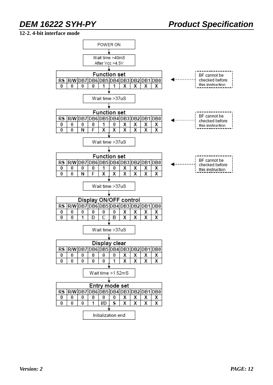#### **12-2. 4-bit interface mode**

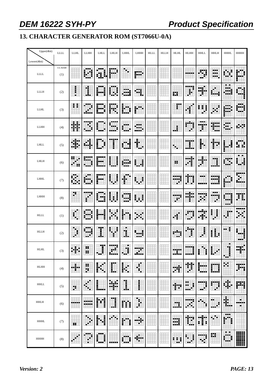### **13. CHARACTER GENERATOR ROM (ST7066U-0A)**

| Upper(4bit)  | $\mbox{LLL}$         | <b>LLHL</b> | LLHH       | <b>LHLL</b> | LHLH             | LHHL      | LHHH             | <b>HLLL</b> | <b>HLLH</b> | <b>HLHL</b> | <b>HLHH</b>     | <b>HHLL</b>        | <b>HHLH</b>             | <b>HHHL</b>      | HHHH       |
|--------------|----------------------|-------------|------------|-------------|------------------|-----------|------------------|-------------|-------------|-------------|-----------------|--------------------|-------------------------|------------------|------------|
| Lowerr(4bit) |                      |             |            |             |                  |           |                  |             |             |             |                 |                    |                         |                  |            |
| <b>LLLL</b>  | <b>CG RAM</b><br>(1) |             | H          | В,<br>翤     | İ                | - 1       | m                |             |             |             |                 | 2992<br>t.         | 1961)<br>alah s<br>- 20 |                  |            |
| <b>LLLH</b>  | (2)                  | i           | I          |             | i<br>H.          | <br>a a a | ---<br>الل       |             |             | 雛           | 臯               | 期間                 |                         | 鷤                |            |
| <b>LLHL</b>  | (3)                  | œ           | H.         |             | Ī                | E<br>ă    | i                |             |             | Œ           |                 | Ħ<br>E             |                         | ---              |            |
| LLHH         | (4)                  | X           | 7755       |             | 医胃胃炎             |           | talah<br>كالمواد |             |             | I           | Ŵ               | ---<br>a a la<br>Ŧ | 蠶                       | ö.               |            |
| <b>LHLL</b>  | (5)                  |             |            | H.          | ŀ                |           | U                |             |             | 陈           |                 | H                  | Ħ                       | J.               |            |
| LHLH         | (6)                  |             |            |             | Ē<br>į           |           | 鼺                |             |             | 99          | أداوي           |                    | 1                       |                  | İ          |
| LHHL         | (7)                  |             |            |             | i<br>İ           |           | 躙                |             |             | W           | I<br>Ï          | ---                | a a s                   |                  | .          |
| LHHH         | (8)                  | Œ,          | F          |             | İ<br>İ<br>I      | H.        | i<br>麒           |             |             | €           | ₩,              | ويزيان<br>×        | ---<br>E.               | .                | ï<br>ï     |
| <b>HLLL</b>  | (1)                  | ы           |            |             |                  | Î         | Эt               |             |             |             |                 |                    | i<br>畢                  | Ē                |            |
| <b>HLLH</b>  | (2)                  | ∄           | щÃ         | I           | H                | 甫         | ₩                |             |             | w           | Time.<br>f.     | J                  | ï<br>I                  | нx               | Ħ          |
| <b>HLHL</b>  | (3)                  |             | ö<br>----- | Ŧ<br>--     | -----<br><b></b> | F<br>÷    | 11121<br>-----   |             |             |             |                 |                    | E<br>66 F               | Ξ<br>Ŧ<br>Ħ.     |            |
| <b>HLHH</b>  | (4)                  | Ħ           | Ë          | Ħ           | ---<br>E         | Ħ         | l                |             |             | W           | 霼               |                    | m                       | H.               | ----<br>٠. |
| <b>HHLL</b>  | (5)                  | Ħ           | đ          |             | 蹦                | ī         | Ī                |             |             | W           | - 1<br>Ì<br>ыģ. | ▓▓                 | E                       | Ħ.               |            |
| <b>HHLH</b>  | (6)                  | ᄈ           |            | Ħ           | l                | 龖         | 羃                |             |             |             | mя              |                    | --<br>Ħ<br>--           | 鴨                | ы          |
| <b>HHHL</b>  | (7)                  | 88          | н<br>Ħ     | i<br>i      | п<br>فالتقا      | ľ<br>Ħ    | ₩                |             |             | 龖           | Ħ               | 灩                  | H.<br>щ                 | 東京市<br>man.<br>i |            |
| <b>HHHH</b>  | (8)                  |             | ---        | <br>Ē       |                  |           | \$<br>۳          |             |             | ŧ.<br>ŧ     | J<br>н          | 中性                 | ₩                       | . .              |            |